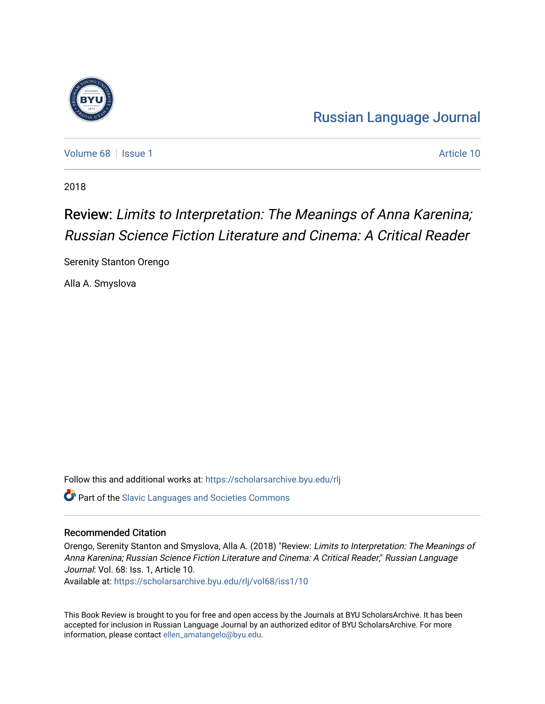

[Russian Language Journal](https://scholarsarchive.byu.edu/rlj) 

[Volume 68](https://scholarsarchive.byu.edu/rlj/vol68) | [Issue 1](https://scholarsarchive.byu.edu/rlj/vol68/iss1) Article 10

2018

# Review: Limits to Interpretation: The Meanings of Anna Karenina; Russian Science Fiction Literature and Cinema: A Critical Reader

Serenity Stanton Orengo

Alla A. Smyslova

Follow this and additional works at: [https://scholarsarchive.byu.edu/rlj](https://scholarsarchive.byu.edu/rlj?utm_source=scholarsarchive.byu.edu%2Frlj%2Fvol68%2Fiss1%2F10&utm_medium=PDF&utm_campaign=PDFCoverPages) **C** Part of the Slavic Languages and Societies Commons

#### Recommended Citation

Orengo, Serenity Stanton and Smyslova, Alla A. (2018) "Review: Limits to Interpretation: The Meanings of Anna Karenina; Russian Science Fiction Literature and Cinema: A Critical Reader," Russian Language Journal: Vol. 68: Iss. 1, Article 10.

Available at: [https://scholarsarchive.byu.edu/rlj/vol68/iss1/10](https://scholarsarchive.byu.edu/rlj/vol68/iss1/10?utm_source=scholarsarchive.byu.edu%2Frlj%2Fvol68%2Fiss1%2F10&utm_medium=PDF&utm_campaign=PDFCoverPages)

This Book Review is brought to you for free and open access by the Journals at BYU ScholarsArchive. It has been accepted for inclusion in Russian Language Journal by an authorized editor of BYU ScholarsArchive. For more information, please contact [ellen\\_amatangelo@byu.edu.](mailto:ellen_amatangelo@byu.edu)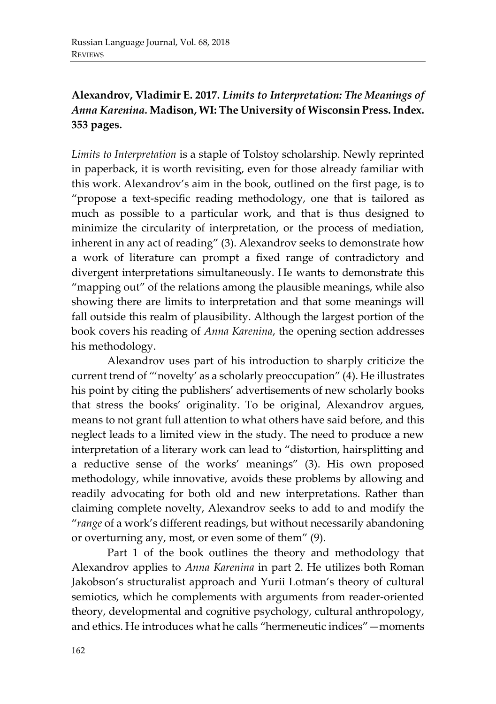### **Alexandrov, Vladimir E. 2017.** *Limits to Interpretation: The Meanings of Anna Karenina.* **Madison, WI: The University of Wisconsin Press. Index. 353 pages.**

*Limits to Interpretation* is a staple of Tolstoy scholarship. Newly reprinted in paperback, it is worth revisiting, even for those already familiar with this work. Alexandrov's aim in the book, outlined on the first page, is to "propose a text-specific reading methodology, one that is tailored as much as possible to a particular work, and that is thus designed to minimize the circularity of interpretation, or the process of mediation, inherent in any act of reading" (3). Alexandrov seeks to demonstrate how a work of literature can prompt a fixed range of contradictory and divergent interpretations simultaneously. He wants to demonstrate this "mapping out" of the relations among the plausible meanings, while also showing there are limits to interpretation and that some meanings will fall outside this realm of plausibility. Although the largest portion of the book covers his reading of *Anna Karenina*, the opening section addresses his methodology.

Alexandrov uses part of his introduction to sharply criticize the current trend of "'novelty' as a scholarly preoccupation" (4). He illustrates his point by citing the publishers' advertisements of new scholarly books that stress the books' originality. To be original, Alexandrov argues, means to not grant full attention to what others have said before, and this neglect leads to a limited view in the study. The need to produce a new interpretation of a literary work can lead to "distortion, hairsplitting and a reductive sense of the works' meanings" (3). His own proposed methodology, while innovative, avoids these problems by allowing and readily advocating for both old and new interpretations. Rather than claiming complete novelty, Alexandrov seeks to add to and modify the "*range* of a work's different readings, but without necessarily abandoning or overturning any, most, or even some of them" (9).

Part 1 of the book outlines the theory and methodology that Alexandrov applies to *Anna Karenina* in part 2. He utilizes both Roman Jakobson's structuralist approach and Yurii Lotman's theory of cultural semiotics, which he complements with arguments from reader-oriented theory, developmental and cognitive psychology, cultural anthropology, and ethics. He introduces what he calls "hermeneutic indices"—moments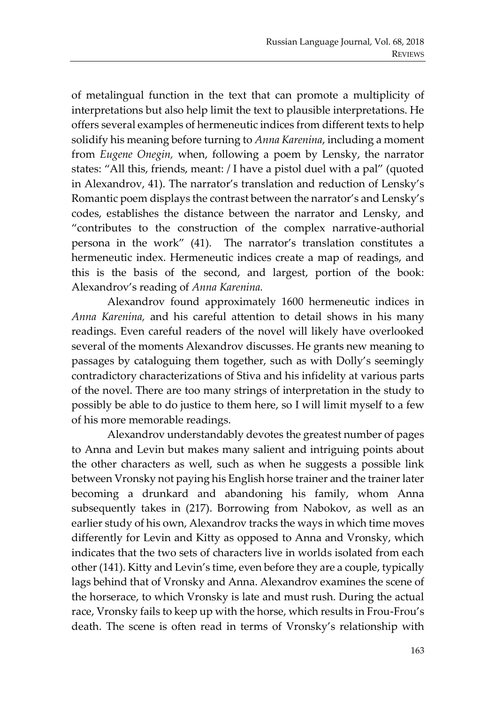of metalingual function in the text that can promote a multiplicity of interpretations but also help limit the text to plausible interpretations. He offers several examples of hermeneutic indices from different texts to help solidify his meaning before turning to *Anna Karenina*, including a moment from *Eugene Onegin,* when, following a poem by Lensky, the narrator states: "All this, friends, meant: / I have a pistol duel with a pal" (quoted in Alexandrov, 41). The narrator's translation and reduction of Lensky's Romantic poem displays the contrast between the narrator's and Lensky's codes, establishes the distance between the narrator and Lensky, and "contributes to the construction of the complex narrative-authorial persona in the work" (41). The narrator's translation constitutes a hermeneutic index. Hermeneutic indices create a map of readings, and this is the basis of the second, and largest, portion of the book: Alexandrov's reading of *Anna Karenina.* 

Alexandrov found approximately 1600 hermeneutic indices in *Anna Karenina,* and his careful attention to detail shows in his many readings. Even careful readers of the novel will likely have overlooked several of the moments Alexandrov discusses. He grants new meaning to passages by cataloguing them together, such as with Dolly's seemingly contradictory characterizations of Stiva and his infidelity at various parts of the novel. There are too many strings of interpretation in the study to possibly be able to do justice to them here, so I will limit myself to a few of his more memorable readings.

Alexandrov understandably devotes the greatest number of pages to Anna and Levin but makes many salient and intriguing points about the other characters as well, such as when he suggests a possible link between Vronsky not paying his English horse trainer and the trainer later becoming a drunkard and abandoning his family, whom Anna subsequently takes in (217). Borrowing from Nabokov, as well as an earlier study of his own, Alexandrov tracks the ways in which time moves differently for Levin and Kitty as opposed to Anna and Vronsky, which indicates that the two sets of characters live in worlds isolated from each other (141). Kitty and Levin's time, even before they are a couple, typically lags behind that of Vronsky and Anna. Alexandrov examines the scene of the horserace, to which Vronsky is late and must rush. During the actual race, Vronsky fails to keep up with the horse, which results in Frou-Frou's death. The scene is often read in terms of Vronsky's relationship with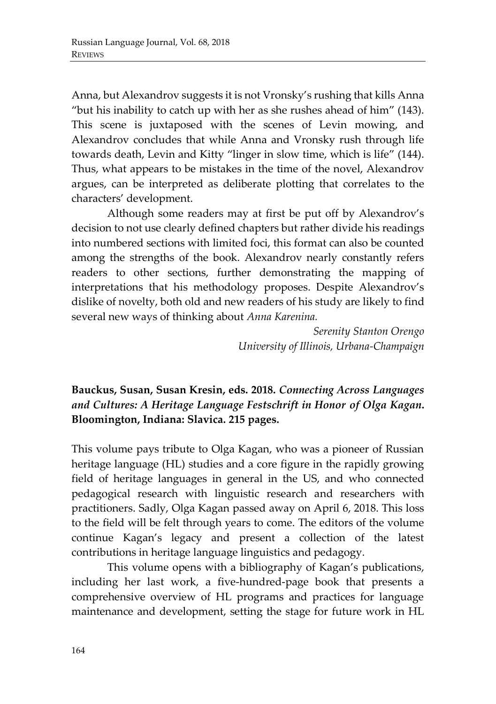Anna, but Alexandrov suggests it is not Vronsky's rushing that kills Anna "but his inability to catch up with her as she rushes ahead of him" (143). This scene is juxtaposed with the scenes of Levin mowing, and Alexandrov concludes that while Anna and Vronsky rush through life towards death, Levin and Kitty "linger in slow time, which is life" (144). Thus, what appears to be mistakes in the time of the novel, Alexandrov argues, can be interpreted as deliberate plotting that correlates to the characters' development.

Although some readers may at first be put off by Alexandrov's decision to not use clearly defined chapters but rather divide his readings into numbered sections with limited foci, this format can also be counted among the strengths of the book. Alexandrov nearly constantly refers readers to other sections, further demonstrating the mapping of interpretations that his methodology proposes. Despite Alexandrov's dislike of novelty, both old and new readers of his study are likely to find several new ways of thinking about *Anna Karenina.* 

> *Serenity Stanton Orengo University of Illinois, Urbana-Champaign*

### **Bauckus, Susan, Susan Kresin, eds. 2018.** *Connecting Across Languages and Cultures: A Heritage Language Festschrift in Honor of Olga Kagan***. Bloomington, Indiana: Slavica. 215 pages.**

This volume pays tribute to Olga Kagan, who was a pioneer of Russian heritage language (HL) studies and a core figure in the rapidly growing field of heritage languages in general in the US, and who connected pedagogical research with linguistic research and researchers with practitioners. Sadly, Olga Kagan passed away on April 6, 2018. This loss to the field will be felt through years to come. The editors of the volume continue Kagan's legacy and present a collection of the latest contributions in heritage language linguistics and pedagogy.

This volume opens with a bibliography of Kagan's publications, including her last work, a five-hundred-page book that presents a comprehensive overview of HL programs and practices for language maintenance and development, setting the stage for future work in HL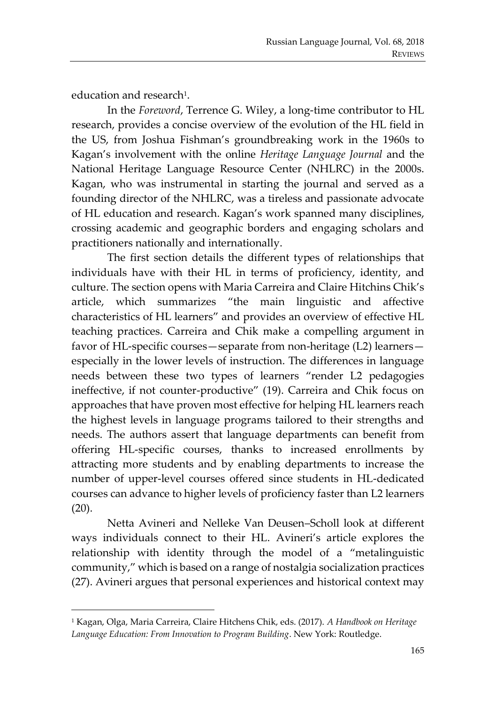education and research<sup>1</sup>.

In the *Foreword*, Terrence G. Wiley, a long-time contributor to HL research, provides a concise overview of the evolution of the HL field in the US, from Joshua Fishman's groundbreaking work in the 1960s to Kagan's involvement with the online *Heritage Language Journal* and the National Heritage Language Resource Center (NHLRC) in the 2000s. Kagan, who was instrumental in starting the journal and served as a founding director of the NHLRC, was a tireless and passionate advocate of HL education and research. Kagan's work spanned many disciplines, crossing academic and geographic borders and engaging scholars and practitioners nationally and internationally.

The first section details the different types of relationships that individuals have with their HL in terms of proficiency, identity, and culture. The section opens with Maria Carreira and Claire Hitchins Chik's article, which summarizes "the main linguistic and affective characteristics of HL learners" and provides an overview of effective HL teaching practices. Carreira and Chik make a compelling argument in favor of HL-specific courses—separate from non-heritage (L2) learners especially in the lower levels of instruction. The differences in language needs between these two types of learners "render L2 pedagogies ineffective, if not counter-productive" (19). Carreira and Chik focus on approaches that have proven most effective for helping HL learners reach the highest levels in language programs tailored to their strengths and needs. The authors assert that language departments can benefit from offering HL-specific courses, thanks to increased enrollments by attracting more students and by enabling departments to increase the number of upper-level courses offered since students in HL-dedicated courses can advance to higher levels of proficiency faster than L2 learners (20).

Netta Avineri and Nelleke Van Deusen–Scholl look at different ways individuals connect to their HL. Avineri's article explores the relationship with identity through the model of a "metalinguistic community," which is based on a range of nostalgia socialization practices (27). Avineri argues that personal experiences and historical context may

<sup>1</sup> Kagan, Olga, Maria Carreira, Claire Hitchens Chik, eds. (2017). *A Handbook on Heritage Language Education: From Innovation to Program Building*. New York: Routledge.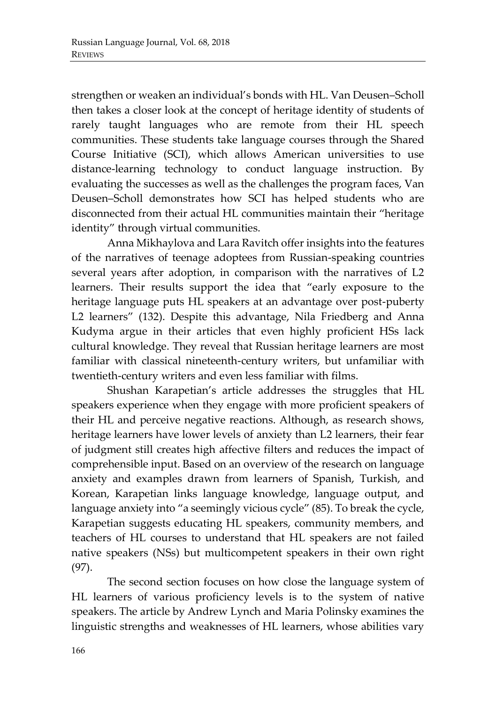strengthen or weaken an individual's bonds with HL. Van Deusen–Scholl then takes a closer look at the concept of heritage identity of students of rarely taught languages who are remote from their HL speech communities. These students take language courses through the Shared Course Initiative (SCI), which allows American universities to use distance-learning technology to conduct language instruction. By evaluating the successes as well as the challenges the program faces, Van Deusen–Scholl demonstrates how SCI has helped students who are disconnected from their actual HL communities maintain their "heritage identity" through virtual communities.

Anna Mikhaylova and Lara Ravitch offer insights into the features of the narratives of teenage adoptees from Russian-speaking countries several years after adoption, in comparison with the narratives of L2 learners. Their results support the idea that "early exposure to the heritage language puts HL speakers at an advantage over post-puberty L2 learners" (132). Despite this advantage, Nila Friedberg and Anna Kudyma argue in their articles that even highly proficient HSs lack cultural knowledge. They reveal that Russian heritage learners are most familiar with classical nineteenth-century writers, but unfamiliar with twentieth-century writers and even less familiar with films.

Shushan Karapetian's article addresses the struggles that HL speakers experience when they engage with more proficient speakers of their HL and perceive negative reactions. Although, as research shows, heritage learners have lower levels of anxiety than L2 learners, their fear of judgment still creates high affective filters and reduces the impact of comprehensible input. Based on an overview of the research on language anxiety and examples drawn from learners of Spanish, Turkish, and Korean, Karapetian links language knowledge, language output, and language anxiety into "a seemingly vicious cycle" (85). To break the cycle, Karapetian suggests educating HL speakers, community members, and teachers of HL courses to understand that HL speakers are not failed native speakers (NSs) but multicompetent speakers in their own right (97).

The second section focuses on how close the language system of HL learners of various proficiency levels is to the system of native speakers. The article by Andrew Lynch and Maria Polinsky examines the linguistic strengths and weaknesses of HL learners, whose abilities vary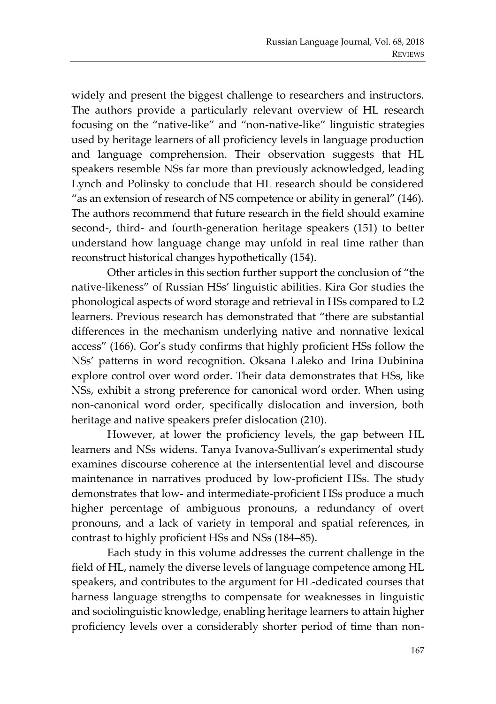widely and present the biggest challenge to researchers and instructors. The authors provide a particularly relevant overview of HL research focusing on the "native-like" and "non-native-like" linguistic strategies used by heritage learners of all proficiency levels in language production and language comprehension. Their observation suggests that HL speakers resemble NSs far more than previously acknowledged, leading Lynch and Polinsky to conclude that HL research should be considered "as an extension of research of NS competence or ability in general" (146). The authors recommend that future research in the field should examine second-, third- and fourth-generation heritage speakers (151) to better understand how language change may unfold in real time rather than reconstruct historical changes hypothetically (154).

Other articles in this section further support the conclusion of "the native-likeness" of Russian HSs' linguistic abilities. Kira Gor studies the phonological aspects of word storage and retrieval in HSs compared to L2 learners. Previous research has demonstrated that "there are substantial differences in the mechanism underlying native and nonnative lexical access" (166). Gor's study confirms that highly proficient HSs follow the NSs' patterns in word recognition. Oksana Laleko and Irina Dubinina explore control over word order. Their data demonstrates that HSs, like NSs, exhibit a strong preference for canonical word order. When using non-canonical word order, specifically dislocation and inversion, both heritage and native speakers prefer dislocation (210).

However, at lower the proficiency levels, the gap between HL learners and NSs widens. Tanya Ivanova-Sullivan's experimental study examines discourse coherence at the intersentential level and discourse maintenance in narratives produced by low-proficient HSs. The study demonstrates that low- and intermediate-proficient HSs produce a much higher percentage of ambiguous pronouns, a redundancy of overt pronouns, and a lack of variety in temporal and spatial references, in contrast to highly proficient HSs and NSs (184–85).

Each study in this volume addresses the current challenge in the field of HL, namely the diverse levels of language competence among HL speakers, and contributes to the argument for HL-dedicated courses that harness language strengths to compensate for weaknesses in linguistic and sociolinguistic knowledge, enabling heritage learners to attain higher proficiency levels over a considerably shorter period of time than non